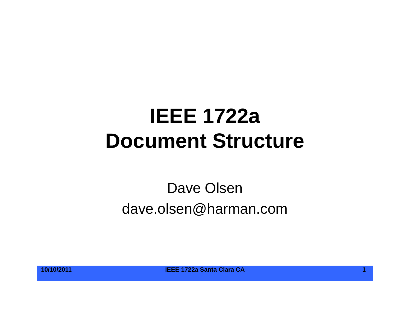# **IEEE 1722aDocument Structure**

### Dave Olsen dave.olsen@harman.com

**10/10/2011 IEEE 1722a Santa Clara CA 1**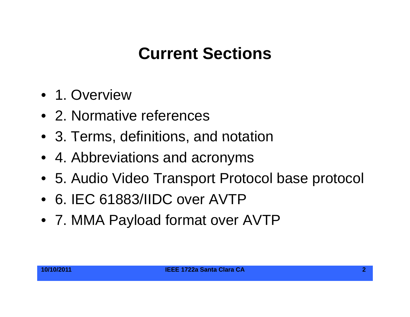## **Current Sections**

- 1. Overview
- 2. Normative references
- 3. Terms, definitions, and notation
- 4. Abbreviations and acronyms
- 5. Audio Video Transport Protocol base protocol
- 6. IEC 61883/IIDC over AVTP
- 7. MMA Payload format over AVTP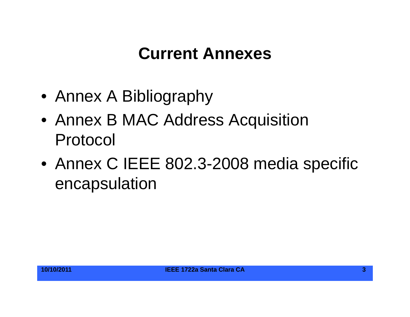### **Current Annexes**

- $\bullet\,$  Annex A Bibliography
- Annex B MAC Address Acquisition Protocol
- Annex C IEEE 802.3-2008 media specific encapsulation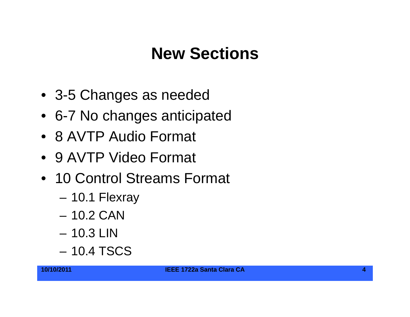#### **New Sections**

- 3-5 Changes as needed
- 6-7 No changes anticipated
- 8 AVTP Audio Format
- 9 AVTP Video Format
- 10 Control Streams Format
	- –10.1 Flexray
	- 10.2 CAN
	- 10.3 LIN
	- 10.4 TSCS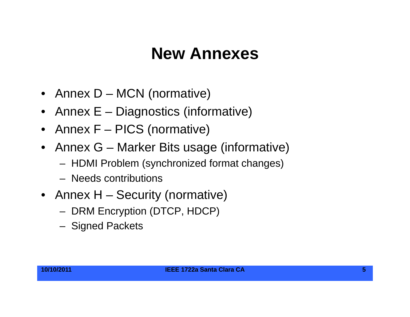#### **New Annexes**

- Annex D MCN (normative)
- Annex E Diagnostics (informative)
- Annex F PICS (normative)
- Annex G Marker Bits usage (informative)
	- HDMI Problem (synchronized format changes)
	- Needs contributions
- Annex H Security (normative)
	- DRM Encryption (DTCP, HDCP)
	- Signed Packets